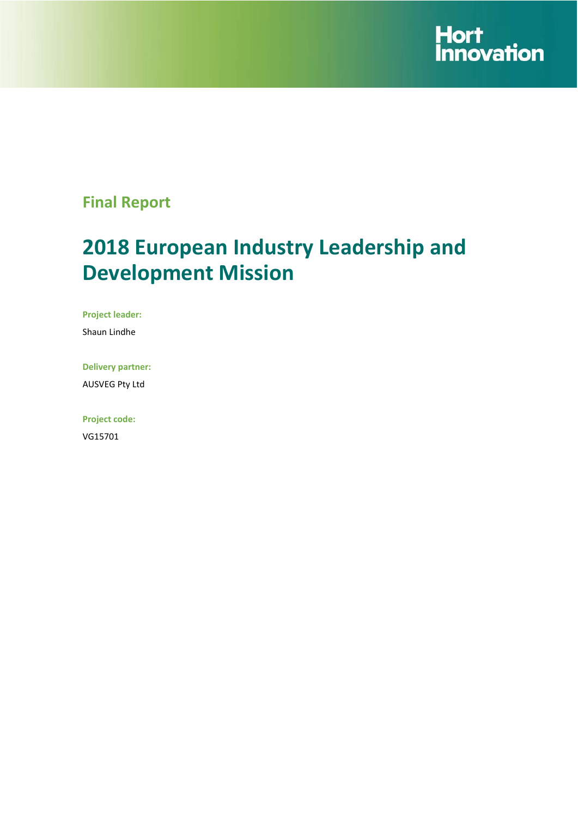

# **Final Report**

# **2018 European Industry Leadership and Development Mission**

**Project leader:** 

Shaun Lindhe

**Delivery partner:** 

AUSVEG Pty Ltd

**Project code:**  VG15701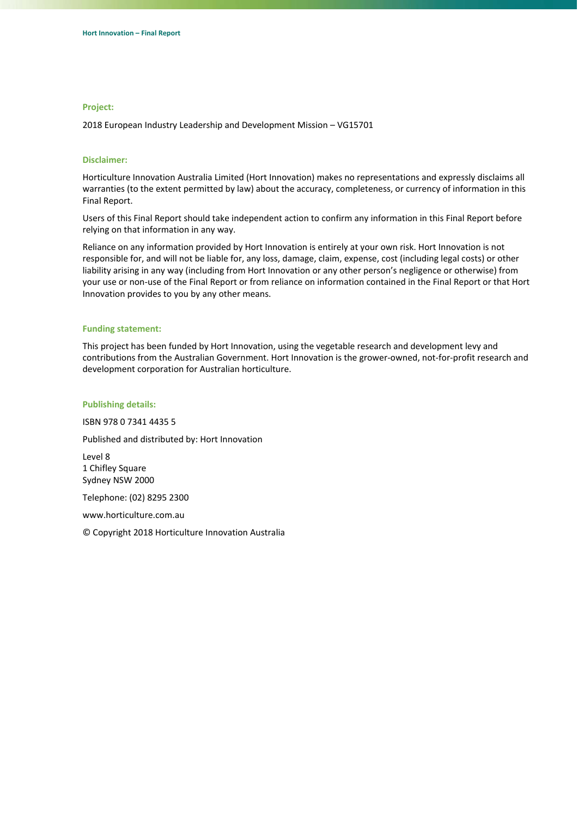#### **Project:**

2018 European Industry Leadership and Development Mission – VG15701

#### **Disclaimer:**

Horticulture Innovation Australia Limited (Hort Innovation) makes no representations and expressly disclaims all warranties (to the extent permitted by law) about the accuracy, completeness, or currency of information in this Final Report.

Users of this Final Report should take independent action to confirm any information in this Final Report before relying on that information in any way.

Reliance on any information provided by Hort Innovation is entirely at your own risk. Hort Innovation is not responsible for, and will not be liable for, any loss, damage, claim, expense, cost (including legal costs) or other liability arising in any way (including from Hort Innovation or any other person's negligence or otherwise) from your use or non‐use of the Final Report or from reliance on information contained in the Final Report or that Hort Innovation provides to you by any other means.

#### **Funding statement:**

This project has been funded by Hort Innovation, using the vegetable research and development levy and contributions from the Australian Government. Hort Innovation is the grower‐owned, not‐for‐profit research and development corporation for Australian horticulture.

#### **Publishing details:**

ISBN 978 0 7341 4435 5

Published and distributed by: Hort Innovation

Level 8 1 Chifley Square Sydney NSW 2000

Telephone: (02) 8295 2300

www.horticulture.com.au

© Copyright 2018 Horticulture Innovation Australia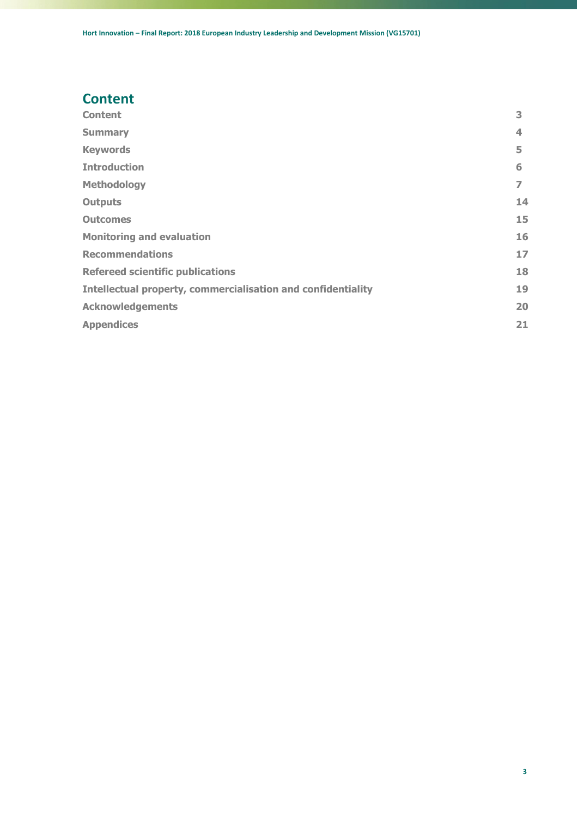# <span id="page-2-0"></span>**Content**

| <b>Content</b>                                                      | 3  |
|---------------------------------------------------------------------|----|
| <b>Summary</b>                                                      | 4  |
| <b>Keywords</b>                                                     | 5  |
| <b>Introduction</b>                                                 | 6  |
| <b>Methodology</b>                                                  | 7  |
| <b>Outputs</b>                                                      | 14 |
| <b>Outcomes</b>                                                     | 15 |
| <b>Monitoring and evaluation</b>                                    | 16 |
| <b>Recommendations</b>                                              | 17 |
| <b>Refereed scientific publications</b>                             | 18 |
| <b>Intellectual property, commercialisation and confidentiality</b> | 19 |
| <b>Acknowledgements</b>                                             | 20 |
| <b>Appendices</b>                                                   | 21 |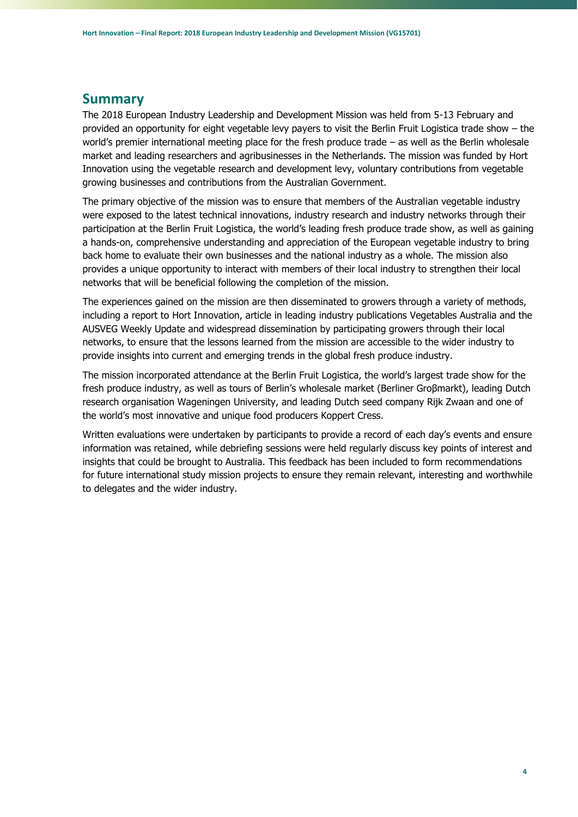### <span id="page-3-0"></span>**Summary**

The 2018 European Industry Leadership and Development Mission was held from 5-13 February and provided an opportunity for eight vegetable levy payers to visit the Berlin Fruit Logistica trade show – the world's premier international meeting place for the fresh produce trade – as well as the Berlin wholesale market and leading researchers and agribusinesses in the Netherlands. The mission was funded by Hort Innovation using the vegetable research and development levy, voluntary contributions from vegetable growing businesses and contributions from the Australian Government.

The primary objective of the mission was to ensure that members of the Australian vegetable industry were exposed to the latest technical innovations, industry research and industry networks through their participation at the Berlin Fruit Logistica, the world's leading fresh produce trade show, as well as gaining a hands-on, comprehensive understanding and appreciation of the European vegetable industry to bring back home to evaluate their own businesses and the national industry as a whole. The mission also provides a unique opportunity to interact with members of their local industry to strengthen their local networks that will be beneficial following the completion of the mission.

The experiences gained on the mission are then disseminated to growers through a variety of methods, including a report to Hort Innovation, article in leading industry publications Vegetables Australia and the AUSVEG Weekly Update and widespread dissemination by participating growers through their local networks, to ensure that the lessons learned from the mission are accessible to the wider industry to provide insights into current and emerging trends in the global fresh produce industry.

The mission incorporated attendance at the Berlin Fruit Logistica, the world's largest trade show for the fresh produce industry, as well as tours of Berlin's wholesale market (Berliner Groβmarkt), leading Dutch research organisation Wageningen University, and leading Dutch seed company Rijk Zwaan and one of the world's most innovative and unique food producers Koppert Cress.

Written evaluations were undertaken by participants to provide a record of each day's events and ensure information was retained, while debriefing sessions were held regularly discuss key points of interest and insights that could be brought to Australia. This feedback has been included to form recommendations for future international study mission projects to ensure they remain relevant, interesting and worthwhile to delegates and the wider industry.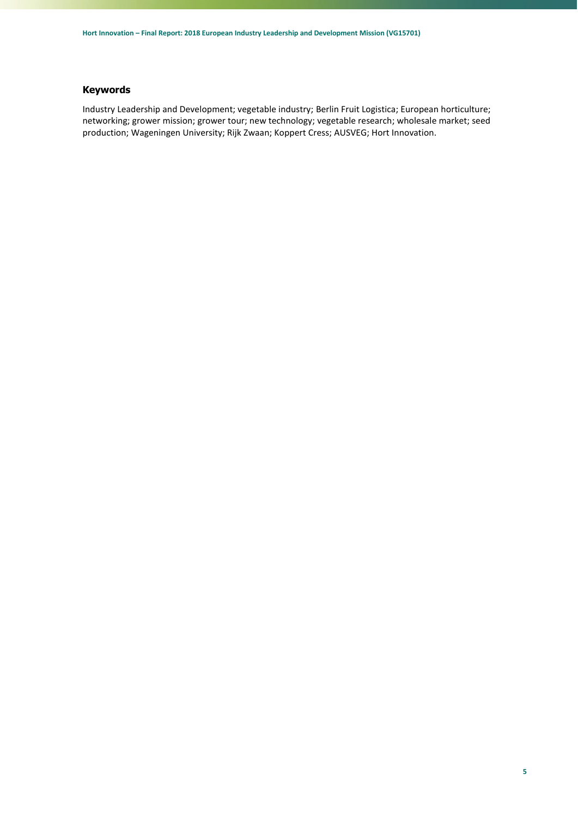#### <span id="page-4-0"></span>**Keywords**

Industry Leadership and Development; vegetable industry; Berlin Fruit Logistica; European horticulture; networking; grower mission; grower tour; new technology; vegetable research; wholesale market; seed production; Wageningen University; Rijk Zwaan; Koppert Cress; AUSVEG; Hort Innovation.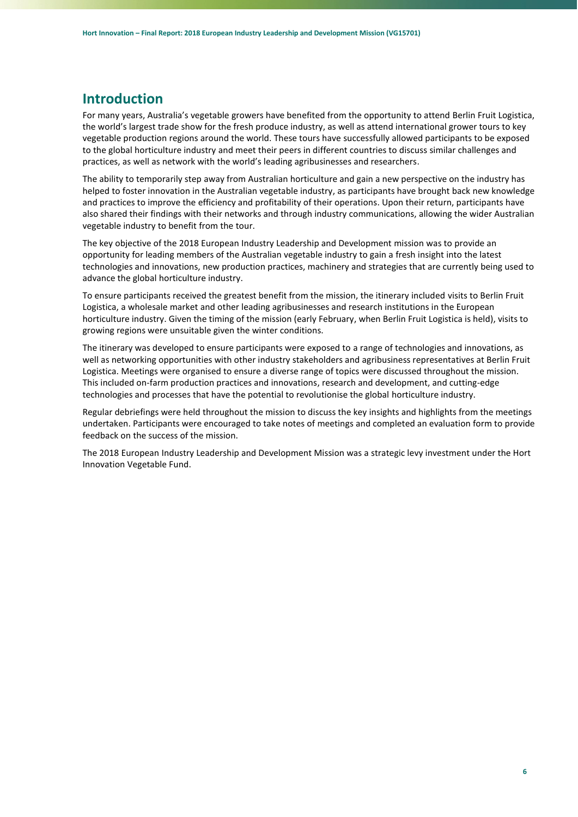### <span id="page-5-0"></span>**Introduction**

For many years, Australia's vegetable growers have benefited from the opportunity to attend Berlin Fruit Logistica, the world's largest trade show for the fresh produce industry, as well as attend international grower tours to key vegetable production regions around the world. These tours have successfully allowed participants to be exposed to the global horticulture industry and meet their peers in different countries to discuss similar challenges and practices, as well as network with the world's leading agribusinesses and researchers.

The ability to temporarily step away from Australian horticulture and gain a new perspective on the industry has helped to foster innovation in the Australian vegetable industry, as participants have brought back new knowledge and practices to improve the efficiency and profitability of their operations. Upon their return, participants have also shared their findings with their networks and through industry communications, allowing the wider Australian vegetable industry to benefit from the tour.

The key objective of the 2018 European Industry Leadership and Development mission was to provide an opportunity for leading members of the Australian vegetable industry to gain a fresh insight into the latest technologies and innovations, new production practices, machinery and strategies that are currently being used to advance the global horticulture industry.

To ensure participants received the greatest benefit from the mission, the itinerary included visits to Berlin Fruit Logistica, a wholesale market and other leading agribusinesses and research institutions in the European horticulture industry. Given the timing of the mission (early February, when Berlin Fruit Logistica is held), visits to growing regions were unsuitable given the winter conditions.

The itinerary was developed to ensure participants were exposed to a range of technologies and innovations, as well as networking opportunities with other industry stakeholders and agribusiness representatives at Berlin Fruit Logistica. Meetings were organised to ensure a diverse range of topics were discussed throughout the mission. This included on-farm production practices and innovations, research and development, and cutting-edge technologies and processes that have the potential to revolutionise the global horticulture industry.

Regular debriefings were held throughout the mission to discuss the key insights and highlights from the meetings undertaken. Participants were encouraged to take notes of meetings and completed an evaluation form to provide feedback on the success of the mission.

The 2018 European Industry Leadership and Development Mission was a strategic levy investment under the Hort Innovation Vegetable Fund.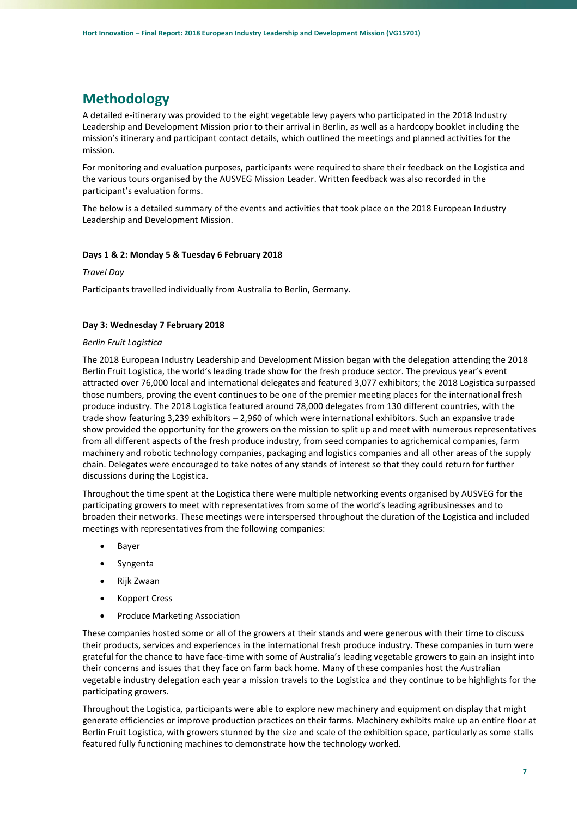# <span id="page-6-0"></span>**Methodology**

A detailed e-itinerary was provided to the eight vegetable levy payers who participated in the 2018 Industry Leadership and Development Mission prior to their arrival in Berlin, as well as a hardcopy booklet including the mission's itinerary and participant contact details, which outlined the meetings and planned activities for the mission.

For monitoring and evaluation purposes, participants were required to share their feedback on the Logistica and the various tours organised by the AUSVEG Mission Leader. Written feedback was also recorded in the participant's evaluation forms.

The below is a detailed summary of the events and activities that took place on the 2018 European Industry Leadership and Development Mission.

#### **Days 1 & 2: Monday 5 & Tuesday 6 February 2018**

*Travel Day* 

Participants travelled individually from Australia to Berlin, Germany.

#### **Day 3: Wednesday 7 February 2018**

#### *Berlin Fruit Logistica*

The 2018 European Industry Leadership and Development Mission began with the delegation attending the 2018 Berlin Fruit Logistica, the world's leading trade show for the fresh produce sector. The previous year's event attracted over 76,000 local and international delegates and featured 3,077 exhibitors; the 2018 Logistica surpassed those numbers, proving the event continues to be one of the premier meeting places for the international fresh produce industry. The 2018 Logistica featured around 78,000 delegates from 130 different countries, with the trade show featuring 3,239 exhibitors – 2,960 of which were international exhibitors. Such an expansive trade show provided the opportunity for the growers on the mission to split up and meet with numerous representatives from all different aspects of the fresh produce industry, from seed companies to agrichemical companies, farm machinery and robotic technology companies, packaging and logistics companies and all other areas of the supply chain. Delegates were encouraged to take notes of any stands of interest so that they could return for further discussions during the Logistica.

Throughout the time spent at the Logistica there were multiple networking events organised by AUSVEG for the participating growers to meet with representatives from some of the world's leading agribusinesses and to broaden their networks. These meetings were interspersed throughout the duration of the Logistica and included meetings with representatives from the following companies:

- Bayer
- Syngenta
- Rijk Zwaan
- Koppert Cress
- Produce Marketing Association

These companies hosted some or all of the growers at their stands and were generous with their time to discuss their products, services and experiences in the international fresh produce industry. These companies in turn were grateful for the chance to have face-time with some of Australia's leading vegetable growers to gain an insight into their concerns and issues that they face on farm back home. Many of these companies host the Australian vegetable industry delegation each year a mission travels to the Logistica and they continue to be highlights for the participating growers.

Throughout the Logistica, participants were able to explore new machinery and equipment on display that might generate efficiencies or improve production practices on their farms. Machinery exhibits make up an entire floor at Berlin Fruit Logistica, with growers stunned by the size and scale of the exhibition space, particularly as some stalls featured fully functioning machines to demonstrate how the technology worked.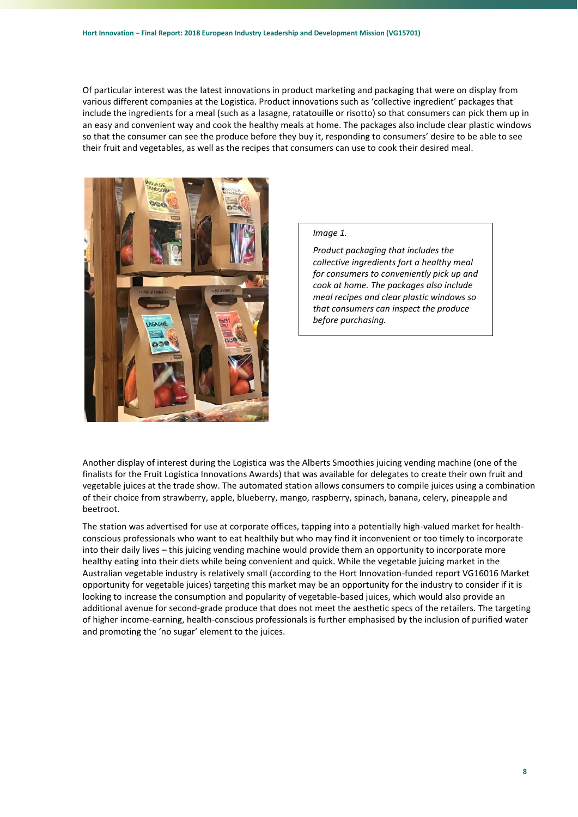Of particular interest was the latest innovations in product marketing and packaging that were on display from various different companies at the Logistica. Product innovations such as 'collective ingredient' packages that include the ingredients for a meal (such as a lasagne, ratatouille or risotto) so that consumers can pick them up in an easy and convenient way and cook the healthy meals at home. The packages also include clear plastic windows so that the consumer can see the produce before they buy it, responding to consumers' desire to be able to see their fruit and vegetables, as well as the recipes that consumers can use to cook their desired meal.



#### *Image 1.*

*Product packaging that includes the collective ingredients fort a healthy meal for consumers to conveniently pick up and cook at home. The packages also include meal recipes and clear plastic windows so that consumers can inspect the produce before purchasing.*

Another display of interest during the Logistica was the Alberts Smoothies juicing vending machine (one of the finalists for the Fruit Logistica Innovations Awards) that was available for delegates to create their own fruit and vegetable juices at the trade show. The automated station allows consumers to compile juices using a combination of their choice from strawberry, apple, blueberry, mango, raspberry, spinach, banana, celery, pineapple and beetroot.

The station was advertised for use at corporate offices, tapping into a potentially high-valued market for healthconscious professionals who want to eat healthily but who may find it inconvenient or too timely to incorporate into their daily lives – this juicing vending machine would provide them an opportunity to incorporate more healthy eating into their diets while being convenient and quick. While the vegetable juicing market in the Australian vegetable industry is relatively small (according to the Hort Innovation-funded report VG16016 Market opportunity for vegetable juices) targeting this market may be an opportunity for the industry to consider if it is looking to increase the consumption and popularity of vegetable-based juices, which would also provide an additional avenue for second-grade produce that does not meet the aesthetic specs of the retailers. The targeting of higher income-earning, health-conscious professionals is further emphasised by the inclusion of purified water and promoting the 'no sugar' element to the juices.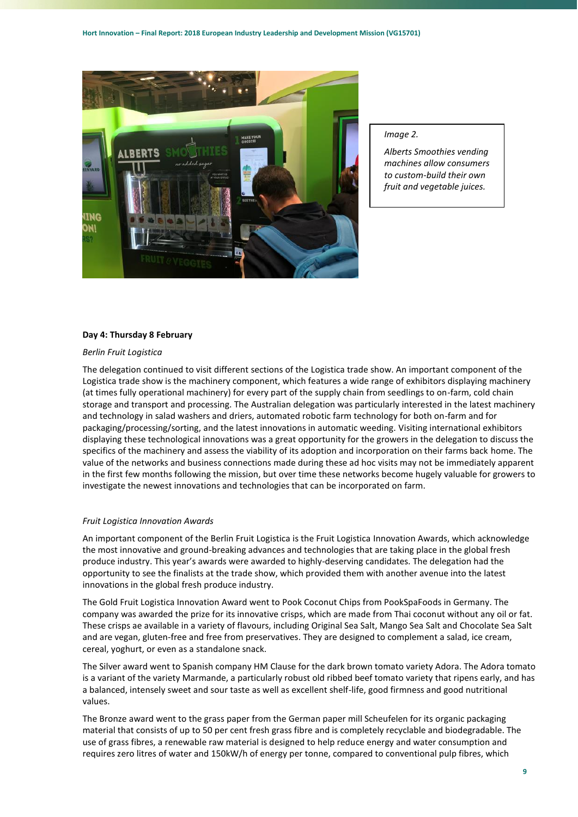

#### *Image 2.*

*Alberts Smoothies vending machines allow consumers to custom-build their own fruit and vegetable juices.*

#### **Day 4: Thursday 8 February**

#### *Berlin Fruit Logistica*

The delegation continued to visit different sections of the Logistica trade show. An important component of the Logistica trade show is the machinery component, which features a wide range of exhibitors displaying machinery (at times fully operational machinery) for every part of the supply chain from seedlings to on-farm, cold chain storage and transport and processing. The Australian delegation was particularly interested in the latest machinery and technology in salad washers and driers, automated robotic farm technology for both on-farm and for packaging/processing/sorting, and the latest innovations in automatic weeding. Visiting international exhibitors displaying these technological innovations was a great opportunity for the growers in the delegation to discuss the specifics of the machinery and assess the viability of its adoption and incorporation on their farms back home. The value of the networks and business connections made during these ad hoc visits may not be immediately apparent in the first few months following the mission, but over time these networks become hugely valuable for growers to investigate the newest innovations and technologies that can be incorporated on farm.

#### *Fruit Logistica Innovation Awards*

An important component of the Berlin Fruit Logistica is the Fruit Logistica Innovation Awards, which acknowledge the most innovative and ground-breaking advances and technologies that are taking place in the global fresh produce industry. This year's awards were awarded to highly-deserving candidates. The delegation had the opportunity to see the finalists at the trade show, which provided them with another avenue into the latest innovations in the global fresh produce industry.

The Gold Fruit Logistica Innovation Award went to Pook Coconut Chips from PookSpaFoods in Germany. The company was awarded the prize for its innovative crisps, which are made from Thai coconut without any oil or fat. These crisps ae available in a variety of flavours, including Original Sea Salt, Mango Sea Salt and Chocolate Sea Salt and are vegan, gluten-free and free from preservatives. They are designed to complement a salad, ice cream, cereal, yoghurt, or even as a standalone snack.

The Silver award went to Spanish company HM Clause for the dark brown tomato variety Adora. The Adora tomato is a variant of the variety Marmande, a particularly robust old ribbed beef tomato variety that ripens early, and has a balanced, intensely sweet and sour taste as well as excellent shelf-life, good firmness and good nutritional values.

The Bronze award went to the grass paper from the German paper mill Scheufelen for its organic packaging material that consists of up to 50 per cent fresh grass fibre and is completely recyclable and biodegradable. The use of grass fibres, a renewable raw material is designed to help reduce energy and water consumption and requires zero litres of water and 150kW/h of energy per tonne, compared to conventional pulp fibres, which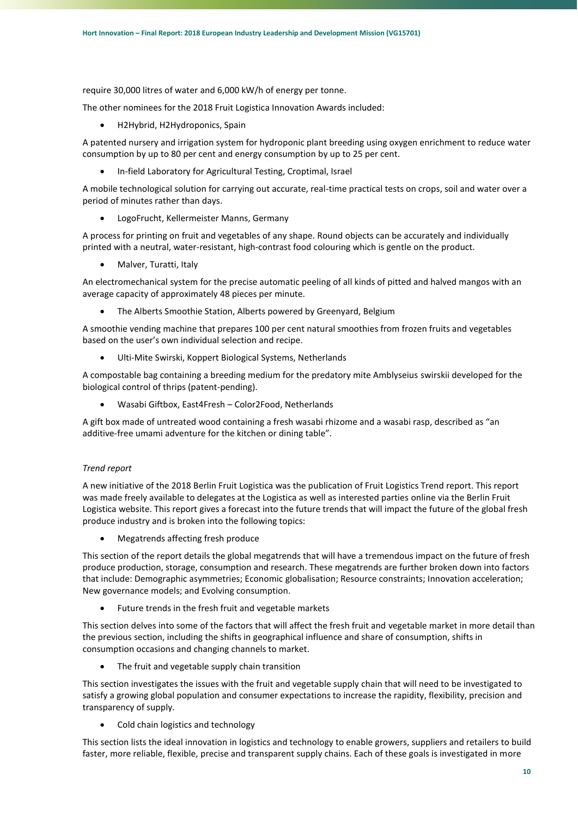require 30,000 litres of water and 6,000 kW/h of energy per tonne.

The other nominees for the 2018 Fruit Logistica Innovation Awards included:

H2Hybrid, H2Hydroponics, Spain

A patented nursery and irrigation system for hydroponic plant breeding using oxygen enrichment to reduce water consumption by up to 80 per cent and energy consumption by up to 25 per cent.

In-field Laboratory for Agricultural Testing, Croptimal, Israel

A mobile technological solution for carrying out accurate, real-time practical tests on crops, soil and water over a period of minutes rather than days.

LogoFrucht, Kellermeister Manns, Germany

A process for printing on fruit and vegetables of any shape. Round objects can be accurately and individually printed with a neutral, water-resistant, high-contrast food colouring which is gentle on the product.

Malver, Turatti, Italy

An electromechanical system for the precise automatic peeling of all kinds of pitted and halved mangos with an average capacity of approximately 48 pieces per minute.

The Alberts Smoothie Station, Alberts powered by Greenyard, Belgium

A smoothie vending machine that prepares 100 per cent natural smoothies from frozen fruits and vegetables based on the user's own individual selection and recipe.

Ulti-Mite Swirski, Koppert Biological Systems, Netherlands

A compostable bag containing a breeding medium for the predatory mite Amblyseius swirskii developed for the biological control of thrips (patent-pending).

Wasabi Giftbox, East4Fresh – Color2Food, Netherlands

A gift box made of untreated wood containing a fresh wasabi rhizome and a wasabi rasp, described as "an additive-free umami adventure for the kitchen or dining table".

#### *Trend report*

A new initiative of the 2018 Berlin Fruit Logistica was the publication of Fruit Logistics Trend report. This report was made freely available to delegates at the Logistica as well as interested parties online via the Berlin Fruit Logistica website. This report gives a forecast into the future trends that will impact the future of the global fresh produce industry and is broken into the following topics:

Megatrends affecting fresh produce

This section of the report details the global megatrends that will have a tremendous impact on the future of fresh produce production, storage, consumption and research. These megatrends are further broken down into factors that include: Demographic asymmetries; Economic globalisation; Resource constraints; Innovation acceleration; New governance models; and Evolving consumption.

Future trends in the fresh fruit and vegetable markets

This section delves into some of the factors that will affect the fresh fruit and vegetable market in more detail than the previous section, including the shifts in geographical influence and share of consumption, shifts in consumption occasions and changing channels to market.

The fruit and vegetable supply chain transition

This section investigates the issues with the fruit and vegetable supply chain that will need to be investigated to satisfy a growing global population and consumer expectations to increase the rapidity, flexibility, precision and transparency of supply.

Cold chain logistics and technology

This section lists the ideal innovation in logistics and technology to enable growers, suppliers and retailers to build faster, more reliable, flexible, precise and transparent supply chains. Each of these goals is investigated in more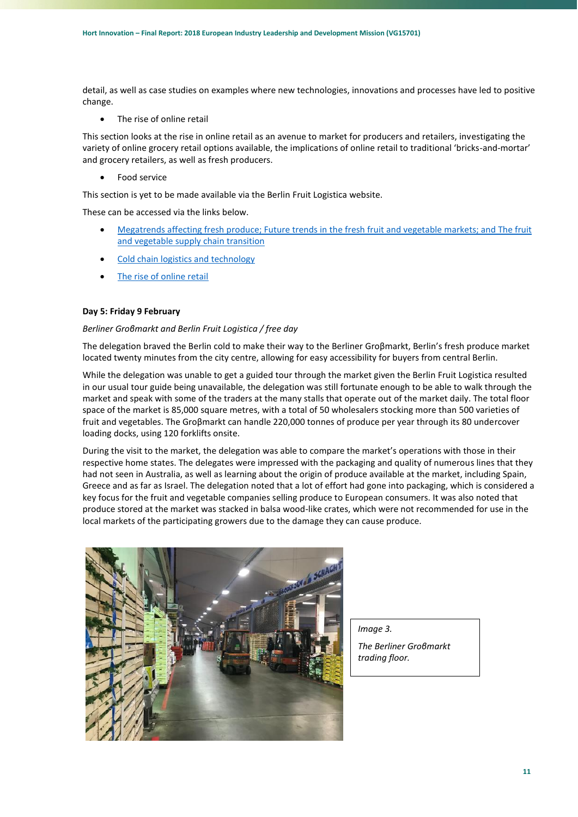detail, as well as case studies on examples where new technologies, innovations and processes have led to positive change.

The rise of online retail

This section looks at the rise in online retail as an avenue to market for producers and retailers, investigating the variety of online grocery retail options available, the implications of online retail to traditional 'bricks-and-mortar' and grocery retailers, as well as fresh producers.

Food service

This section is yet to be made available via the Berlin Fruit Logistica website.

These can be accessed via the links below.

- [Megatrends affecting fresh produce; Future trends in the fresh fruit and vegetable markets; and The fruit](https://www.fruitlogistica.de/media/fl/fl_dl_all/fl_dl_all_fachbesucher/Fruit_Logistica_Trend_Report_2018_Part1.pdf)  [and vegetable supply chain transition](https://www.fruitlogistica.de/media/fl/fl_dl_all/fl_dl_all_fachbesucher/Fruit_Logistica_Trend_Report_2018_Part1.pdf)
- [Cold chain logistics and technology](https://www.fruitlogistica.de/media/fl/fl_dl_all/fl_dl_all_fachbesucher/Fruit_Logistica_Trend_Report_2018_Part2.pdf)
- [The rise of online retail](https://www.fruitlogistica.de/media/fl/fl_dl_all/fl_dl_all_fachbesucher/Fruit_Logistica_Trend_Report_2018_Part3.pdf)

#### **Day 5: Friday 9 February**

#### *Berliner Groβmarkt and Berlin Fruit Logistica / free day*

The delegation braved the Berlin cold to make their way to the Berliner Groβmarkt, Berlin's fresh produce market located twenty minutes from the city centre, allowing for easy accessibility for buyers from central Berlin.

While the delegation was unable to get a guided tour through the market given the Berlin Fruit Logistica resulted in our usual tour guide being unavailable, the delegation was still fortunate enough to be able to walk through the market and speak with some of the traders at the many stalls that operate out of the market daily. The total floor space of the market is 85,000 square metres, with a total of 50 wholesalers stocking more than 500 varieties of fruit and vegetables. The Groβmarkt can handle 220,000 tonnes of produce per year through its 80 undercover loading docks, using 120 forklifts onsite.

During the visit to the market, the delegation was able to compare the market's operations with those in their respective home states. The delegates were impressed with the packaging and quality of numerous lines that they had not seen in Australia, as well as learning about the origin of produce available at the market, including Spain, Greece and as far as Israel. The delegation noted that a lot of effort had gone into packaging, which is considered a key focus for the fruit and vegetable companies selling produce to European consumers. It was also noted that produce stored at the market was stacked in balsa wood-like crates, which were not recommended for use in the local markets of the participating growers due to the damage they can cause produce.



*Image 3.*

*The Berliner Groβmarkt trading floor.*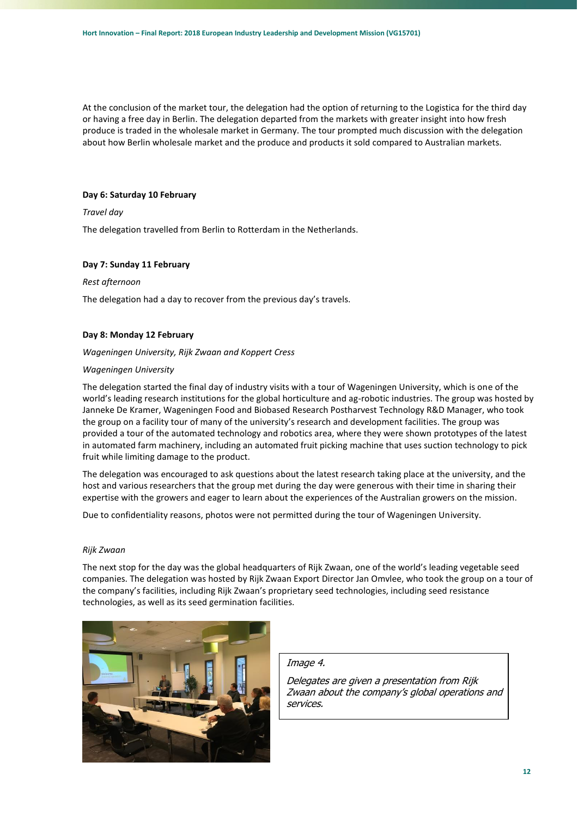At the conclusion of the market tour, the delegation had the option of returning to the Logistica for the third day or having a free day in Berlin. The delegation departed from the markets with greater insight into how fresh produce is traded in the wholesale market in Germany. The tour prompted much discussion with the delegation about how Berlin wholesale market and the produce and products it sold compared to Australian markets.

#### **Day 6: Saturday 10 February**

#### *Travel day*

The delegation travelled from Berlin to Rotterdam in the Netherlands.

#### **Day 7: Sunday 11 February**

#### *Rest afternoon*

The delegation had a day to recover from the previous day's travels.

#### **Day 8: Monday 12 February**

#### *Wageningen University, Rijk Zwaan and Koppert Cress*

#### *Wageningen University*

The delegation started the final day of industry visits with a tour of Wageningen University, which is one of the world's leading research institutions for the global horticulture and ag-robotic industries. The group was hosted by Janneke De Kramer, Wageningen Food and Biobased Research Postharvest Technology R&D Manager, who took the group on a facility tour of many of the university's research and development facilities. The group was provided a tour of the automated technology and robotics area, where they were shown prototypes of the latest in automated farm machinery, including an automated fruit picking machine that uses suction technology to pick fruit while limiting damage to the product.

The delegation was encouraged to ask questions about the latest research taking place at the university, and the host and various researchers that the group met during the day were generous with their time in sharing their expertise with the growers and eager to learn about the experiences of the Australian growers on the mission.

Due to confidentiality reasons, photos were not permitted during the tour of Wageningen University.

#### *Rijk Zwaan*

The next stop for the day was the global headquarters of Rijk Zwaan, one of the world's leading vegetable seed companies. The delegation was hosted by Rijk Zwaan Export Director Jan Omvlee, who took the group on a tour of the company's facilities, including Rijk Zwaan's proprietary seed technologies, including seed resistance technologies, as well as its seed germination facilities.



#### Image 4.

Delegates are given a presentation from Rijk Zwaan about the company's global operations and services.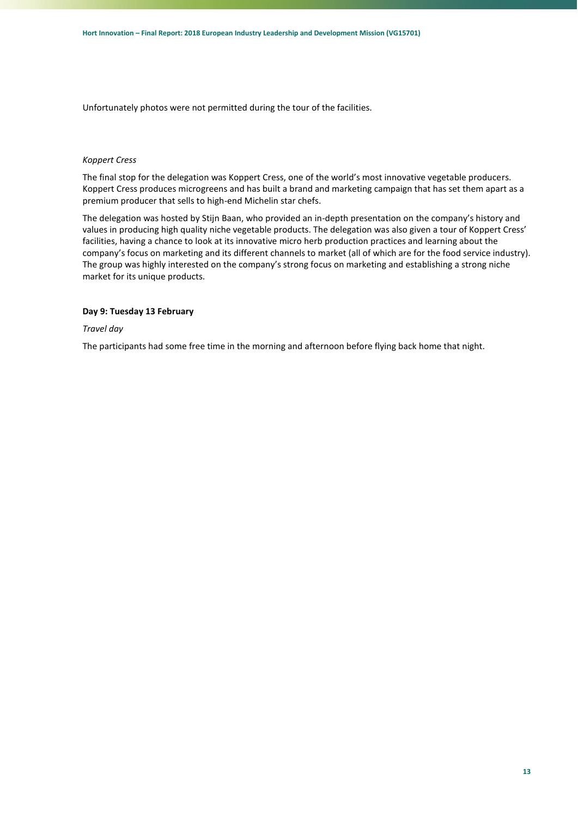Unfortunately photos were not permitted during the tour of the facilities.

#### *Koppert Cress*

The final stop for the delegation was Koppert Cress, one of the world's most innovative vegetable producers. Koppert Cress produces microgreens and has built a brand and marketing campaign that has set them apart as a premium producer that sells to high-end Michelin star chefs.

The delegation was hosted by Stijn Baan, who provided an in-depth presentation on the company's history and values in producing high quality niche vegetable products. The delegation was also given a tour of Koppert Cress' facilities, having a chance to look at its innovative micro herb production practices and learning about the company's focus on marketing and its different channels to market (all of which are for the food service industry). The group was highly interested on the company's strong focus on marketing and establishing a strong niche market for its unique products.

#### **Day 9: Tuesday 13 February**

#### *Travel day*

The participants had some free time in the morning and afternoon before flying back home that night.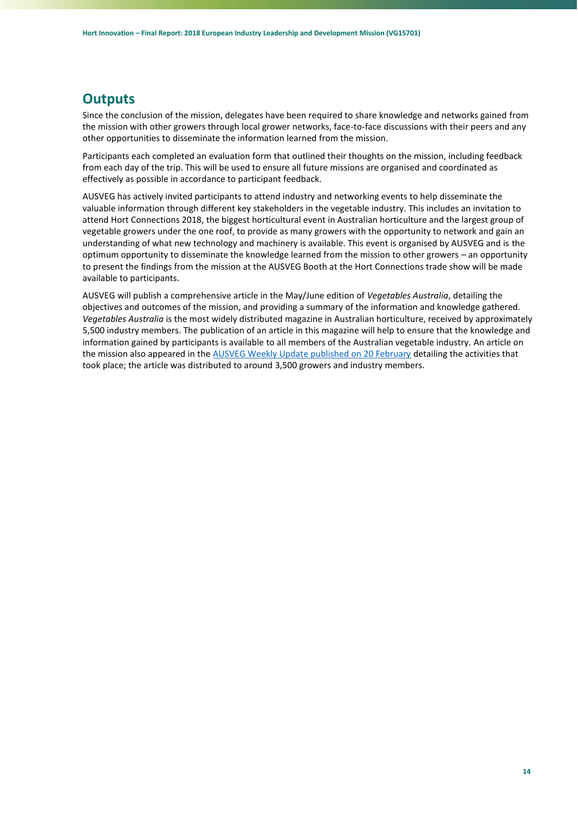# <span id="page-13-0"></span>**Outputs**

Since the conclusion of the mission, delegates have been required to share knowledge and networks gained from the mission with other growers through local grower networks, face-to-face discussions with their peers and any other opportunities to disseminate the information learned from the mission.

Participants each completed an evaluation form that outlined their thoughts on the mission, including feedback from each day of the trip. This will be used to ensure all future missions are organised and coordinated as effectively as possible in accordance to participant feedback.

AUSVEG has actively invited participants to attend industry and networking events to help disseminate the valuable information through different key stakeholders in the vegetable industry. This includes an invitation to attend Hort Connections 2018, the biggest horticultural event in Australian horticulture and the largest group of vegetable growers under the one roof, to provide as many growers with the opportunity to network and gain an understanding of what new technology and machinery is available. This event is organised by AUSVEG and is the optimum opportunity to disseminate the knowledge learned from the mission to other growers – an opportunity to present the findings from the mission at the AUSVEG Booth at the Hort Connections trade show will be made available to participants.

AUSVEG will publish a comprehensive article in the May/June edition of *Vegetables Australia*, detailing the objectives and outcomes of the mission, and providing a summary of the information and knowledge gathered. *Vegetables Australia* is the most widely distributed magazine in Australian horticulture, received by approximately 5,500 industry members. The publication of an article in this magazine will help to ensure that the knowledge and information gained by participants is available to all members of the Australian vegetable industry. An article on the mission also appeared in th[e AUSVEG Weekly Update published on 20 February](https://ausveg.com.au/articles/australian-growers-learn-mission-europe/) detailing the activities that took place; the article was distributed to around 3,500 growers and industry members.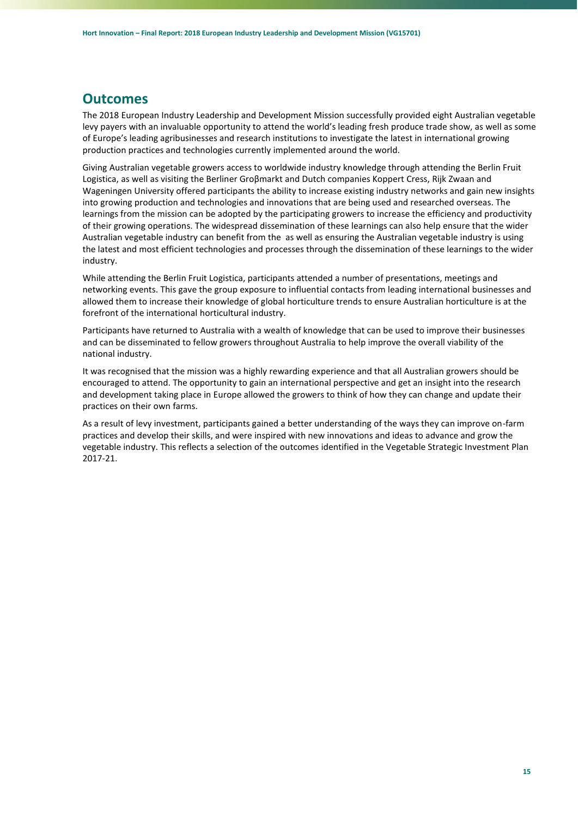### <span id="page-14-0"></span>**Outcomes**

The 2018 European Industry Leadership and Development Mission successfully provided eight Australian vegetable levy payers with an invaluable opportunity to attend the world's leading fresh produce trade show, as well as some of Europe's leading agribusinesses and research institutions to investigate the latest in international growing production practices and technologies currently implemented around the world.

Giving Australian vegetable growers access to worldwide industry knowledge through attending the Berlin Fruit Logistica, as well as visiting the Berliner Groβmarkt and Dutch companies Koppert Cress, Rijk Zwaan and Wageningen University offered participants the ability to increase existing industry networks and gain new insights into growing production and technologies and innovations that are being used and researched overseas. The learnings from the mission can be adopted by the participating growers to increase the efficiency and productivity of their growing operations. The widespread dissemination of these learnings can also help ensure that the wider Australian vegetable industry can benefit from the as well as ensuring the Australian vegetable industry is using the latest and most efficient technologies and processes through the dissemination of these learnings to the wider industry.

While attending the Berlin Fruit Logistica, participants attended a number of presentations, meetings and networking events. This gave the group exposure to influential contacts from leading international businesses and allowed them to increase their knowledge of global horticulture trends to ensure Australian horticulture is at the forefront of the international horticultural industry.

Participants have returned to Australia with a wealth of knowledge that can be used to improve their businesses and can be disseminated to fellow growers throughout Australia to help improve the overall viability of the national industry.

It was recognised that the mission was a highly rewarding experience and that all Australian growers should be encouraged to attend. The opportunity to gain an international perspective and get an insight into the research and development taking place in Europe allowed the growers to think of how they can change and update their practices on their own farms.

As a result of levy investment, participants gained a better understanding of the ways they can improve on-farm practices and develop their skills, and were inspired with new innovations and ideas to advance and grow the vegetable industry. This reflects a selection of the outcomes identified in the Vegetable Strategic Investment Plan 2017-21.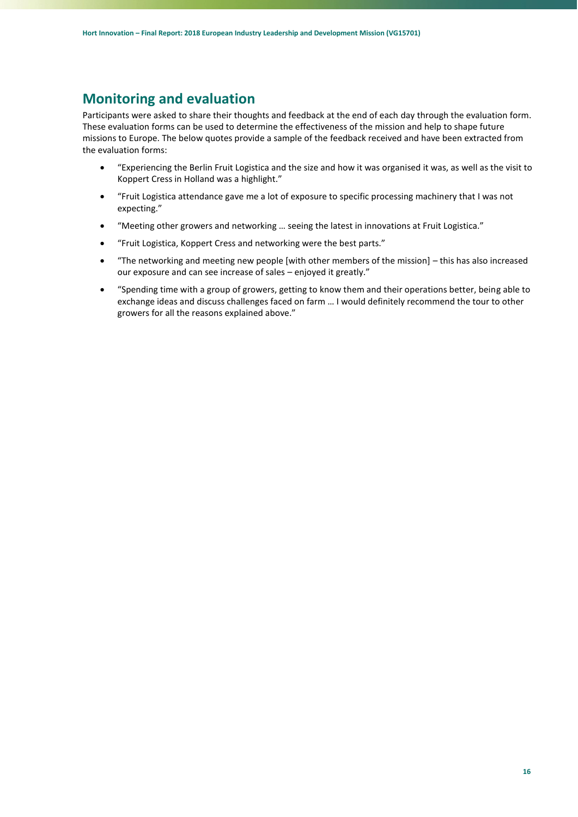### <span id="page-15-0"></span>**Monitoring and evaluation**

Participants were asked to share their thoughts and feedback at the end of each day through the evaluation form. These evaluation forms can be used to determine the effectiveness of the mission and help to shape future missions to Europe. The below quotes provide a sample of the feedback received and have been extracted from the evaluation forms:

- "Experiencing the Berlin Fruit Logistica and the size and how it was organised it was, as well as the visit to Koppert Cress in Holland was a highlight."
- "Fruit Logistica attendance gave me a lot of exposure to specific processing machinery that I was not expecting."
- "Meeting other growers and networking … seeing the latest in innovations at Fruit Logistica."
- "Fruit Logistica, Koppert Cress and networking were the best parts."
- "The networking and meeting new people [with other members of the mission] this has also increased our exposure and can see increase of sales – enjoyed it greatly."
- "Spending time with a group of growers, getting to know them and their operations better, being able to exchange ideas and discuss challenges faced on farm … I would definitely recommend the tour to other growers for all the reasons explained above."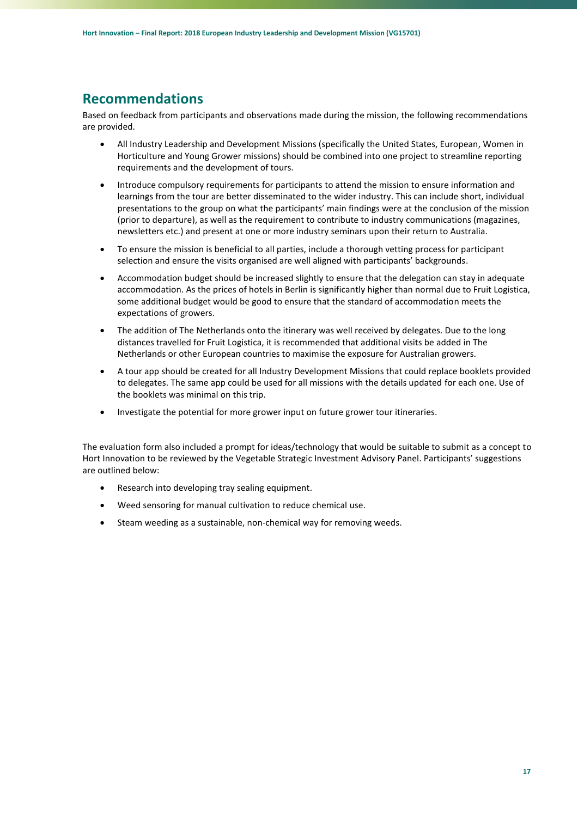# <span id="page-16-0"></span>**Recommendations**

Based on feedback from participants and observations made during the mission, the following recommendations are provided.

- All Industry Leadership and Development Missions (specifically the United States, European, Women in Horticulture and Young Grower missions) should be combined into one project to streamline reporting requirements and the development of tours.
- Introduce compulsory requirements for participants to attend the mission to ensure information and learnings from the tour are better disseminated to the wider industry. This can include short, individual presentations to the group on what the participants' main findings were at the conclusion of the mission (prior to departure), as well as the requirement to contribute to industry communications (magazines, newsletters etc.) and present at one or more industry seminars upon their return to Australia.
- To ensure the mission is beneficial to all parties, include a thorough vetting process for participant selection and ensure the visits organised are well aligned with participants' backgrounds.
- Accommodation budget should be increased slightly to ensure that the delegation can stay in adequate accommodation. As the prices of hotels in Berlin is significantly higher than normal due to Fruit Logistica, some additional budget would be good to ensure that the standard of accommodation meets the expectations of growers.
- The addition of The Netherlands onto the itinerary was well received by delegates. Due to the long distances travelled for Fruit Logistica, it is recommended that additional visits be added in The Netherlands or other European countries to maximise the exposure for Australian growers.
- A tour app should be created for all Industry Development Missions that could replace booklets provided to delegates. The same app could be used for all missions with the details updated for each one. Use of the booklets was minimal on this trip.
- Investigate the potential for more grower input on future grower tour itineraries.

The evaluation form also included a prompt for ideas/technology that would be suitable to submit as a concept to Hort Innovation to be reviewed by the Vegetable Strategic Investment Advisory Panel. Participants' suggestions are outlined below:

- Research into developing tray sealing equipment.
- Weed sensoring for manual cultivation to reduce chemical use.
- Steam weeding as a sustainable, non-chemical way for removing weeds.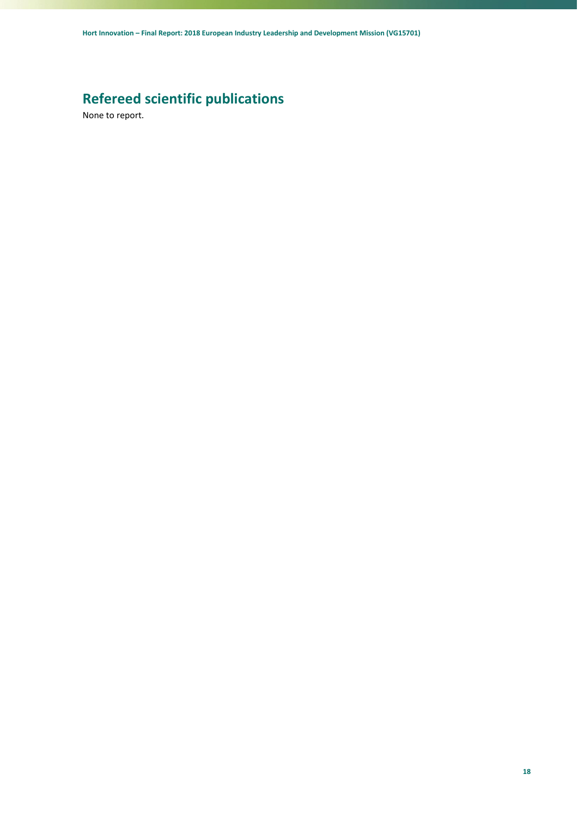# <span id="page-17-0"></span>**Refereed scientific publications**

None to report.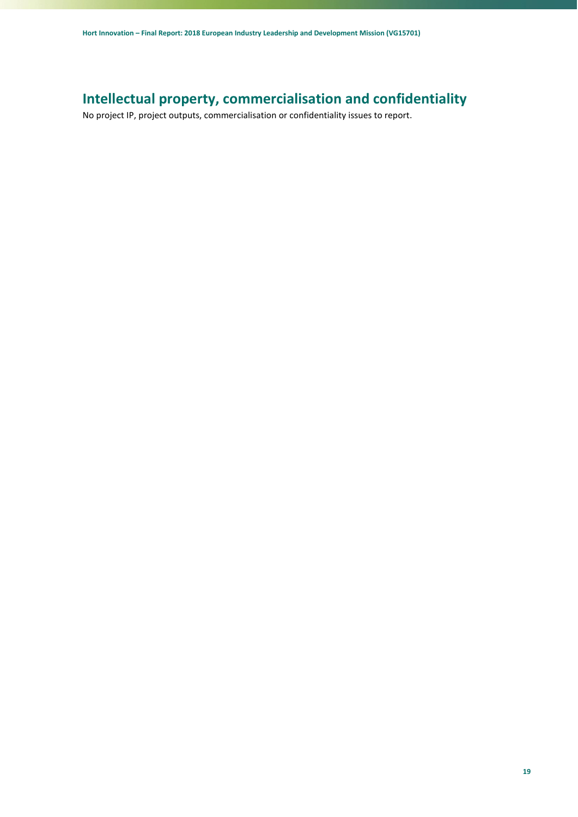# <span id="page-18-0"></span>**Intellectual property, commercialisation and confidentiality**

No project IP, project outputs, commercialisation or confidentiality issues to report.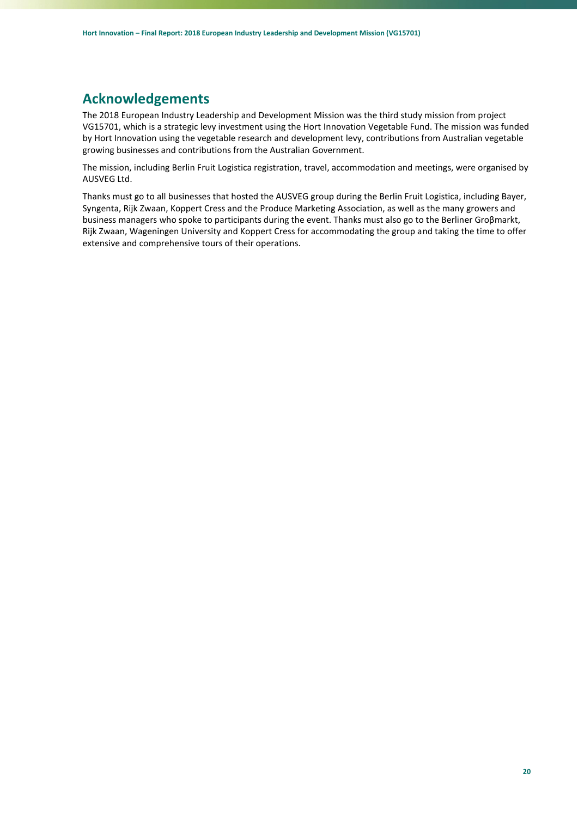# <span id="page-19-0"></span>**Acknowledgements**

The 2018 European Industry Leadership and Development Mission was the third study mission from project VG15701, which is a strategic levy investment using the Hort Innovation Vegetable Fund. The mission was funded by Hort Innovation using the vegetable research and development levy, contributions from Australian vegetable growing businesses and contributions from the Australian Government.

The mission, including Berlin Fruit Logistica registration, travel, accommodation and meetings, were organised by AUSVEG Ltd.

Thanks must go to all businesses that hosted the AUSVEG group during the Berlin Fruit Logistica, including Bayer, Syngenta, Rijk Zwaan, Koppert Cress and the Produce Marketing Association, as well as the many growers and business managers who spoke to participants during the event. Thanks must also go to the Berliner Groβmarkt, Rijk Zwaan, Wageningen University and Koppert Cress for accommodating the group and taking the time to offer extensive and comprehensive tours of their operations.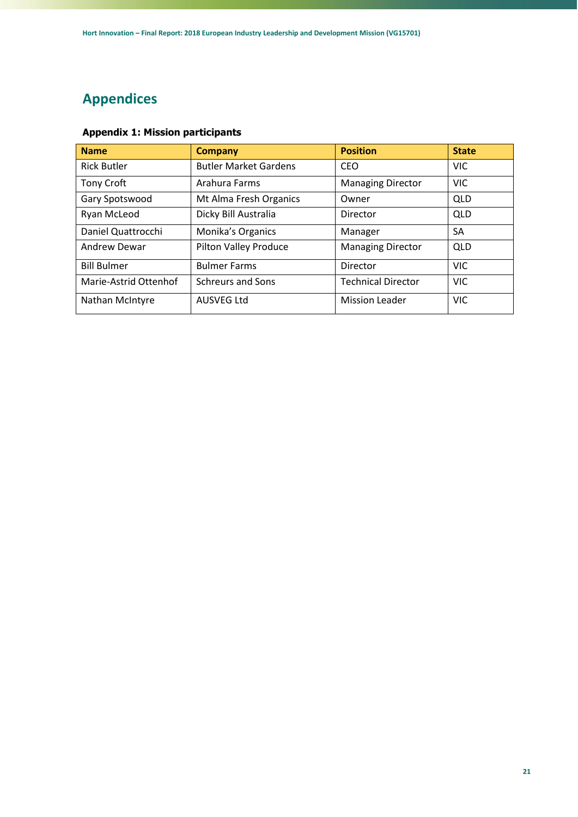# <span id="page-20-0"></span>**Appendices**

| <b>Name</b>           | <b>Company</b>               | <b>Position</b>           | <b>State</b> |
|-----------------------|------------------------------|---------------------------|--------------|
| <b>Rick Butler</b>    | <b>Butler Market Gardens</b> | <b>CEO</b>                | <b>VIC</b>   |
| Tony Croft            | Arahura Farms                | <b>Managing Director</b>  | <b>VIC</b>   |
| Gary Spotswood        | Mt Alma Fresh Organics       | Owner                     | <b>QLD</b>   |
| Ryan McLeod           | Dicky Bill Australia         | Director                  | QLD          |
| Daniel Quattrocchi    | Monika's Organics            | Manager                   | SA           |
| <b>Andrew Dewar</b>   | Pilton Valley Produce        | <b>Managing Director</b>  | <b>QLD</b>   |
| <b>Bill Bulmer</b>    | <b>Bulmer Farms</b>          | Director                  | <b>VIC</b>   |
| Marie-Astrid Ottenhof | <b>Schreurs and Sons</b>     | <b>Technical Director</b> | <b>VIC</b>   |
| Nathan McIntyre       | <b>AUSVEG Ltd</b>            | <b>Mission Leader</b>     | <b>VIC</b>   |

### **Appendix 1: Mission participants**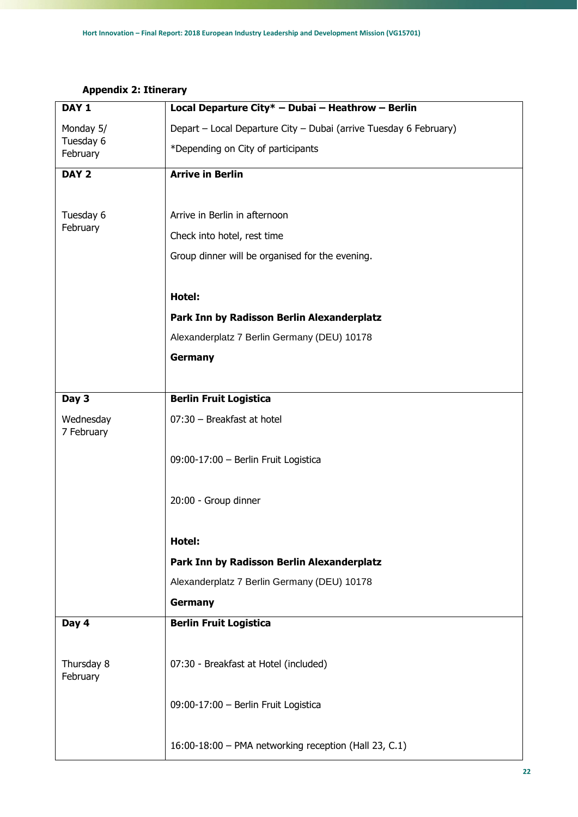| DAY <sub>1</sub>                   | Local Departure City* - Dubai - Heathrow - Berlin                 |
|------------------------------------|-------------------------------------------------------------------|
| Monday 5/<br>Tuesday 6<br>February | Depart - Local Departure City - Dubai (arrive Tuesday 6 February) |
|                                    | *Depending on City of participants                                |
| DAY <sub>2</sub>                   | <b>Arrive in Berlin</b>                                           |
|                                    |                                                                   |
| Tuesday 6<br>February              | Arrive in Berlin in afternoon                                     |
|                                    | Check into hotel, rest time                                       |
|                                    | Group dinner will be organised for the evening.                   |
|                                    |                                                                   |
|                                    | Hotel:                                                            |
|                                    | Park Inn by Radisson Berlin Alexanderplatz                        |
|                                    | Alexanderplatz 7 Berlin Germany (DEU) 10178                       |
|                                    | <b>Germany</b>                                                    |
|                                    |                                                                   |
| Day 3                              | <b>Berlin Fruit Logistica</b>                                     |
| Wednesday                          | 07:30 - Breakfast at hotel                                        |
| 7 February                         |                                                                   |
|                                    | 09:00-17:00 - Berlin Fruit Logistica                              |
|                                    |                                                                   |
|                                    | 20:00 - Group dinner                                              |
|                                    |                                                                   |
|                                    | Hotel:                                                            |
|                                    | Park Inn by Radisson Berlin Alexanderplatz                        |
|                                    | Alexanderplatz 7 Berlin Germany (DEU) 10178                       |
|                                    | <b>Germany</b>                                                    |
| Day 4                              | <b>Berlin Fruit Logistica</b>                                     |
|                                    |                                                                   |
| Thursday 8<br>February             | 07:30 - Breakfast at Hotel (included)                             |
|                                    | 09:00-17:00 - Berlin Fruit Logistica                              |
|                                    |                                                                   |
|                                    | 16:00-18:00 - PMA networking reception (Hall 23, C.1)             |

### **Appendix 2: Itinerary**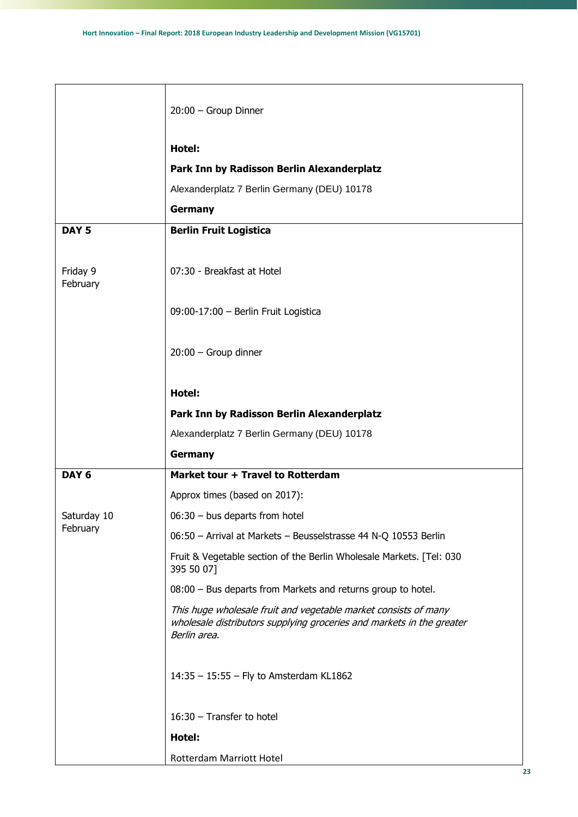|                         | 20:00 - Group Dinner                                                                                                                                     |
|-------------------------|----------------------------------------------------------------------------------------------------------------------------------------------------------|
|                         | Hotel:                                                                                                                                                   |
|                         | Park Inn by Radisson Berlin Alexanderplatz                                                                                                               |
|                         | Alexanderplatz 7 Berlin Germany (DEU) 10178                                                                                                              |
|                         | <b>Germany</b>                                                                                                                                           |
| DAY <sub>5</sub>        | <b>Berlin Fruit Logistica</b>                                                                                                                            |
| Friday 9<br>February    | 07:30 - Breakfast at Hotel                                                                                                                               |
|                         | 09:00-17:00 - Berlin Fruit Logistica                                                                                                                     |
|                         | $20:00$ - Group dinner                                                                                                                                   |
|                         | Hotel:                                                                                                                                                   |
|                         | Park Inn by Radisson Berlin Alexanderplatz                                                                                                               |
|                         | Alexanderplatz 7 Berlin Germany (DEU) 10178                                                                                                              |
|                         | <b>Germany</b>                                                                                                                                           |
| DAY <sub>6</sub>        | Market tour + Travel to Rotterdam                                                                                                                        |
|                         | Approx times (based on 2017):                                                                                                                            |
| Saturday 10<br>February | $06:30 - bus$ departs from hotel                                                                                                                         |
|                         | 06:50 - Arrival at Markets - Beusselstrasse 44 N-Q 10553 Berlin                                                                                          |
|                         | Fruit & Vegetable section of the Berlin Wholesale Markets. [Tel: 030<br>395 50 07]                                                                       |
|                         | 08:00 - Bus departs from Markets and returns group to hotel.                                                                                             |
|                         | This huge wholesale fruit and vegetable market consists of many<br>wholesale distributors supplying groceries and markets in the greater<br>Berlin area. |
|                         | 14:35 - 15:55 - Fly to Amsterdam KL1862                                                                                                                  |
|                         | 16:30 - Transfer to hotel                                                                                                                                |
|                         | Hotel:                                                                                                                                                   |
|                         | Rotterdam Marriott Hotel                                                                                                                                 |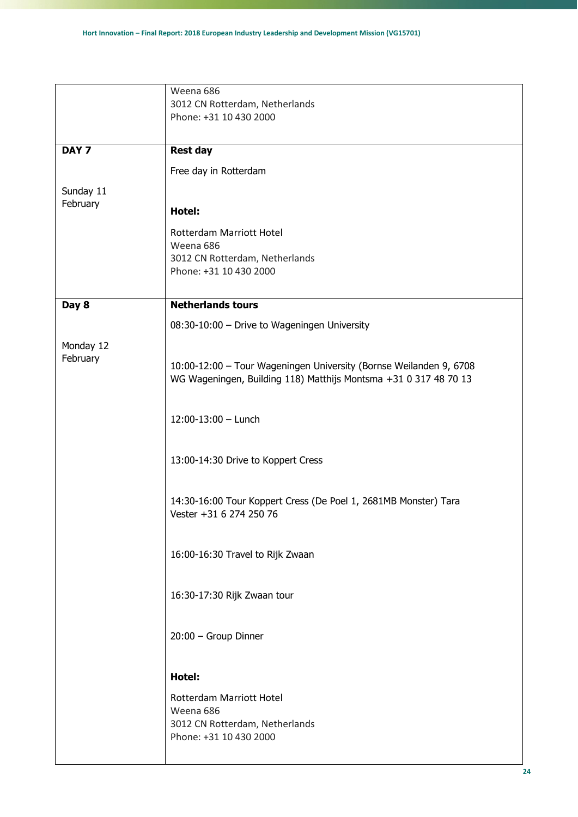|                       | Weena 686<br>3012 CN Rotterdam, Netherlands                                                |
|-----------------------|--------------------------------------------------------------------------------------------|
|                       | Phone: +31 10 430 2000                                                                     |
| DAY <sub>7</sub>      | <b>Rest day</b>                                                                            |
|                       | Free day in Rotterdam                                                                      |
| Sunday 11             |                                                                                            |
| February              | Hotel:                                                                                     |
|                       | Rotterdam Marriott Hotel                                                                   |
|                       | Weena 686                                                                                  |
|                       | 3012 CN Rotterdam, Netherlands<br>Phone: +31 10 430 2000                                   |
|                       |                                                                                            |
| Day 8                 | <b>Netherlands tours</b>                                                                   |
|                       | 08:30-10:00 - Drive to Wageningen University                                               |
| Monday 12<br>February | 10:00-12:00 - Tour Wageningen University (Bornse Weilanden 9, 6708                         |
|                       | WG Wageningen, Building 118) Matthijs Montsma +31 0 317 48 70 13                           |
|                       | $12:00-13:00$ - Lunch                                                                      |
|                       | 13:00-14:30 Drive to Koppert Cress                                                         |
|                       | 14:30-16:00 Tour Koppert Cress (De Poel 1, 2681MB Monster) Tara<br>Vester +31 6 274 250 76 |
|                       | 16:00-16:30 Travel to Rijk Zwaan                                                           |
|                       | 16:30-17:30 Rijk Zwaan tour                                                                |
|                       | 20:00 - Group Dinner                                                                       |
|                       | Hotel:                                                                                     |
|                       | Rotterdam Marriott Hotel                                                                   |
|                       | Weena 686<br>3012 CN Rotterdam, Netherlands                                                |
|                       | Phone: +31 10 430 2000                                                                     |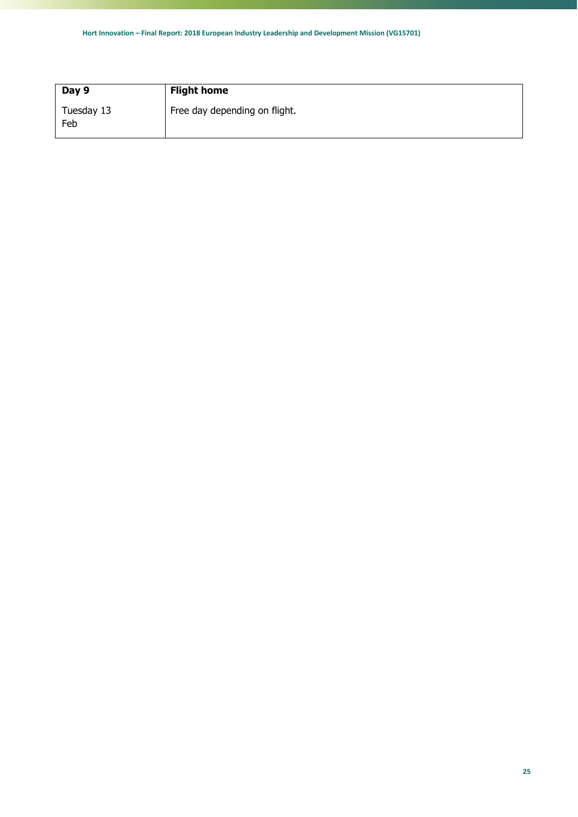| Day 9             | <b>Flight home</b>            |
|-------------------|-------------------------------|
| Tuesday 13<br>Feb | Free day depending on flight. |